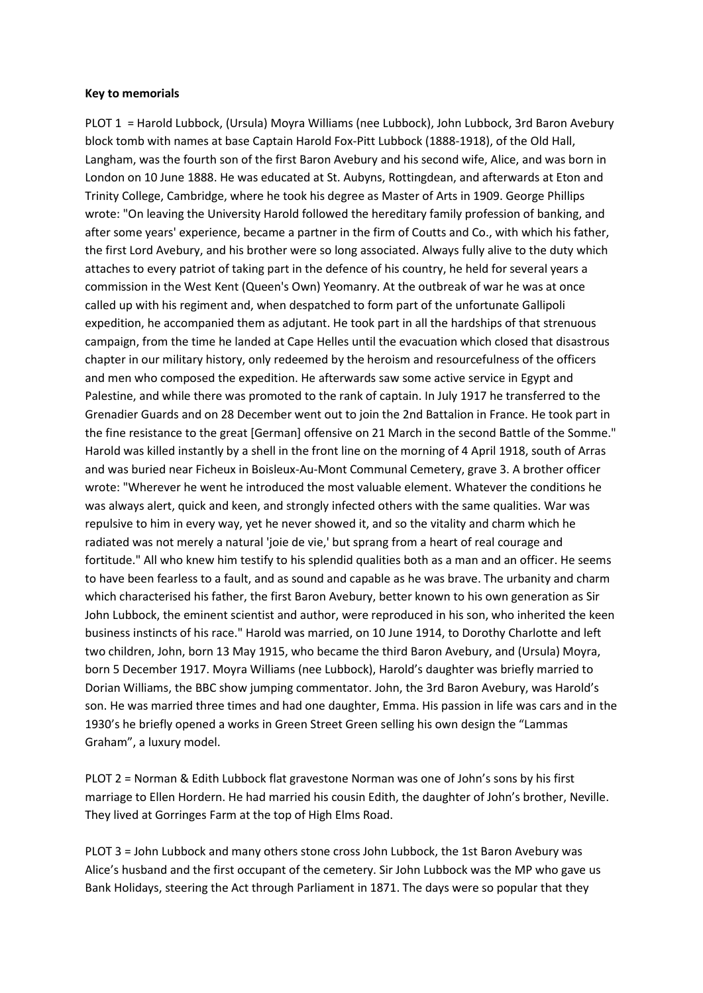## **Key to memorials**

PLOT 1 = Harold Lubbock, (Ursula) Moyra Williams (nee Lubbock), John Lubbock, 3rd Baron Avebury block tomb with names at base Captain Harold Fox-Pitt Lubbock (1888-1918), of the Old Hall, Langham, was the fourth son of the first Baron Avebury and his second wife, Alice, and was born in London on 10 June 1888. He was educated at St. Aubyns, Rottingdean, and afterwards at Eton and Trinity College, Cambridge, where he took his degree as Master of Arts in 1909. George Phillips wrote: "On leaving the University Harold followed the hereditary family profession of banking, and after some years' experience, became a partner in the firm of Coutts and Co., with which his father, the first Lord Avebury, and his brother were so long associated. Always fully alive to the duty which attaches to every patriot of taking part in the defence of his country, he held for several years a commission in the West Kent (Queen's Own) Yeomanry. At the outbreak of war he was at once called up with his regiment and, when despatched to form part of the unfortunate Gallipoli expedition, he accompanied them as adjutant. He took part in all the hardships of that strenuous campaign, from the time he landed at Cape Helles until the evacuation which closed that disastrous chapter in our military history, only redeemed by the heroism and resourcefulness of the officers and men who composed the expedition. He afterwards saw some active service in Egypt and Palestine, and while there was promoted to the rank of captain. In July 1917 he transferred to the Grenadier Guards and on 28 December went out to join the 2nd Battalion in France. He took part in the fine resistance to the great [German] offensive on 21 March in the second Battle of the Somme." Harold was killed instantly by a shell in the front line on the morning of 4 April 1918, south of Arras and was buried near Ficheux in Boisleux-Au-Mont Communal Cemetery, grave 3. A brother officer wrote: "Wherever he went he introduced the most valuable element. Whatever the conditions he was always alert, quick and keen, and strongly infected others with the same qualities. War was repulsive to him in every way, yet he never showed it, and so the vitality and charm which he radiated was not merely a natural 'joie de vie,' but sprang from a heart of real courage and fortitude." All who knew him testify to his splendid qualities both as a man and an officer. He seems to have been fearless to a fault, and as sound and capable as he was brave. The urbanity and charm which characterised his father, the first Baron Avebury, better known to his own generation as Sir John Lubbock, the eminent scientist and author, were reproduced in his son, who inherited the keen business instincts of his race." Harold was married, on 10 June 1914, to Dorothy Charlotte and left two children, John, born 13 May 1915, who became the third Baron Avebury, and (Ursula) Moyra, born 5 December 1917. Moyra Williams (nee Lubbock), Harold's daughter was briefly married to Dorian Williams, the BBC show jumping commentator. John, the 3rd Baron Avebury, was Harold's son. He was married three times and had one daughter, Emma. His passion in life was cars and in the 1930's he briefly opened a works in Green Street Green selling his own design the "Lammas Graham", a luxury model.

PLOT 2 = Norman & Edith Lubbock flat gravestone Norman was one of John's sons by his first marriage to Ellen Hordern. He had married his cousin Edith, the daughter of John's brother, Neville. They lived at Gorringes Farm at the top of High Elms Road.

PLOT 3 = John Lubbock and many others stone cross John Lubbock, the 1st Baron Avebury was Alice's husband and the first occupant of the cemetery. Sir John Lubbock was the MP who gave us Bank Holidays, steering the Act through Parliament in 1871. The days were so popular that they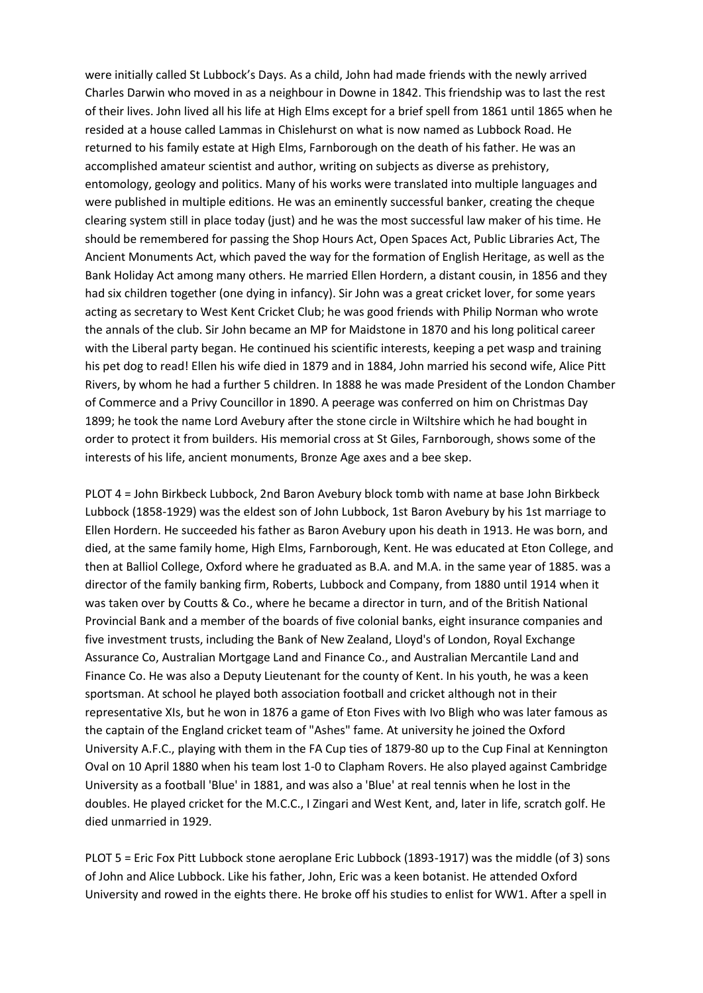were initially called St Lubbock's Days. As a child, John had made friends with the newly arrived Charles Darwin who moved in as a neighbour in Downe in 1842. This friendship was to last the rest of their lives. John lived all his life at High Elms except for a brief spell from 1861 until 1865 when he resided at a house called Lammas in Chislehurst on what is now named as Lubbock Road. He returned to his family estate at High Elms, Farnborough on the death of his father. He was an accomplished amateur scientist and author, writing on subjects as diverse as prehistory, entomology, geology and politics. Many of his works were translated into multiple languages and were published in multiple editions. He was an eminently successful banker, creating the cheque clearing system still in place today (just) and he was the most successful law maker of his time. He should be remembered for passing the Shop Hours Act, Open Spaces Act, Public Libraries Act, The Ancient Monuments Act, which paved the way for the formation of English Heritage, as well as the Bank Holiday Act among many others. He married Ellen Hordern, a distant cousin, in 1856 and they had six children together (one dying in infancy). Sir John was a great cricket lover, for some years acting as secretary to West Kent Cricket Club; he was good friends with Philip Norman who wrote the annals of the club. Sir John became an MP for Maidstone in 1870 and his long political career with the Liberal party began. He continued his scientific interests, keeping a pet wasp and training his pet dog to read! Ellen his wife died in 1879 and in 1884, John married his second wife, Alice Pitt Rivers, by whom he had a further 5 children. In 1888 he was made President of the London Chamber of Commerce and a Privy Councillor in 1890. A peerage was conferred on him on Christmas Day 1899; he took the name Lord Avebury after the stone circle in Wiltshire which he had bought in order to protect it from builders. His memorial cross at St Giles, Farnborough, shows some of the interests of his life, ancient monuments, Bronze Age axes and a bee skep.

PLOT 4 = John Birkbeck Lubbock, 2nd Baron Avebury block tomb with name at base John Birkbeck Lubbock (1858-1929) was the eldest son of John Lubbock, 1st Baron Avebury by his 1st marriage to Ellen Hordern. He succeeded his father as Baron Avebury upon his death in 1913. He was born, and died, at the same family home, High Elms, Farnborough, Kent. He was educated at Eton College, and then at Balliol College, Oxford where he graduated as B.A. and M.A. in the same year of 1885. was a director of the family banking firm, Roberts, Lubbock and Company, from 1880 until 1914 when it was taken over by Coutts & Co., where he became a director in turn, and of the British National Provincial Bank and a member of the boards of five colonial banks, eight insurance companies and five investment trusts, including the Bank of New Zealand, Lloyd's of London, Royal Exchange Assurance Co, Australian Mortgage Land and Finance Co., and Australian Mercantile Land and Finance Co. He was also a Deputy Lieutenant for the county of Kent. In his youth, he was a keen sportsman. At school he played both association football and cricket although not in their representative XIs, but he won in 1876 a game of Eton Fives with Ivo Bligh who was later famous as the captain of the England cricket team of "Ashes" fame. At university he joined the Oxford University A.F.C., playing with them in the FA Cup ties of 1879-80 up to the Cup Final at Kennington Oval on 10 April 1880 when his team lost 1-0 to Clapham Rovers. He also played against Cambridge University as a football 'Blue' in 1881, and was also a 'Blue' at real tennis when he lost in the doubles. He played cricket for the M.C.C., I Zingari and West Kent, and, later in life, scratch golf. He died unmarried in 1929.

PLOT 5 = Eric Fox Pitt Lubbock stone aeroplane Eric Lubbock (1893-1917) was the middle (of 3) sons of John and Alice Lubbock. Like his father, John, Eric was a keen botanist. He attended Oxford University and rowed in the eights there. He broke off his studies to enlist for WW1. After a spell in